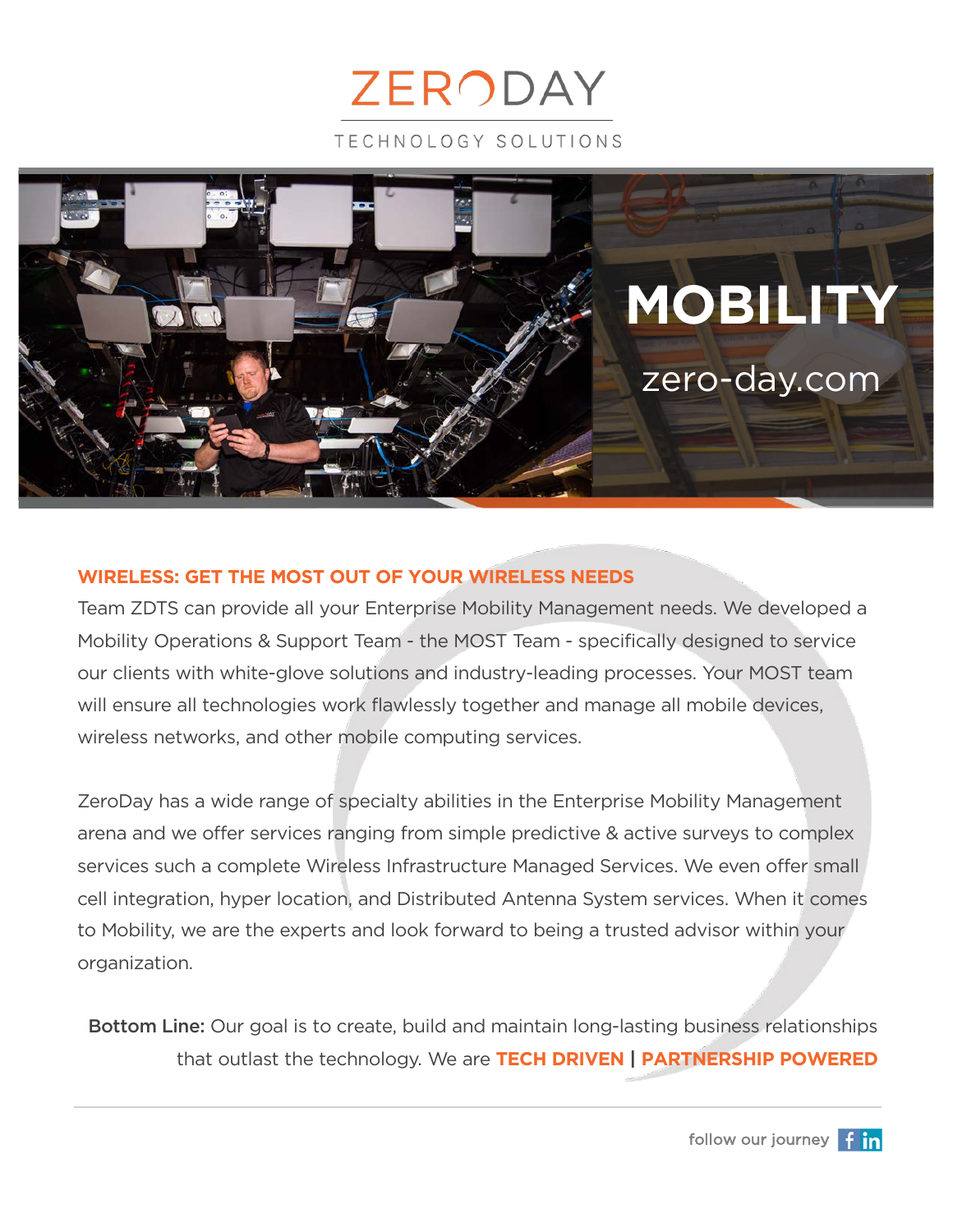



#### **WIRELESS: GET THE MOST OUT OF YOUR WIRELESS NEEDS**

Team ZDTS can provide all your Enterprise Mobility Management needs. We developed a Mobility Operations & Support Team - the MOST Team - specifically designed to service our clients with white-glove solutions and industry-leading processes. Your MOST team will ensure all technologies work flawlessly together and manage all mobile devices, wireless networks, and other mobile computing services.

ZeroDay has a wide range of specialty abilities in the Enterprise Mobility Management arena and we offer services ranging from simple predictive & active surveys to complex services such a complete Wireless Infrastructure Managed Services. We even offer small cell integration, hyper location, and Distributed Antenna System services. When it comes to Mobility, we are the experts and look forward to being a trusted advisor within your organization.

Bottom Line: Our goal is to create, build and maintain long-lasting business relationships that outlast the technology. We are **TECH DRIVEN | PARTNERSHIP POWERED**